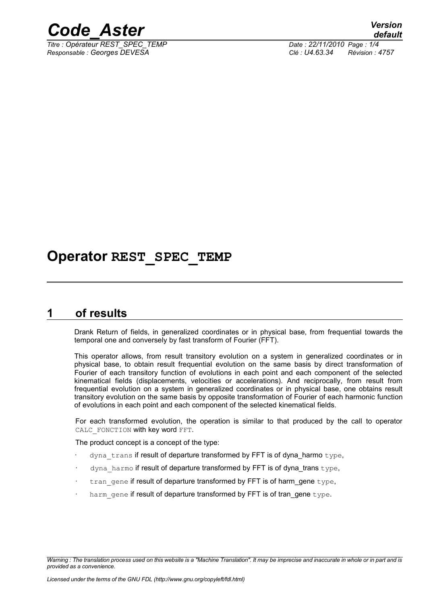

*Titre : Opérateur REST\_SPEC\_TEMP Date : 22/11/2010 Page : 1/4 Responsable : Georges DEVESA Clé : U4.63.34 Révision : 4757*

## **Operator REST\_SPEC\_TEMP**

### **1 of results**

Drank Return of fields, in generalized coordinates or in physical base, from frequential towards the temporal one and conversely by fast transform of Fourier (FFT).

This operator allows, from result transitory evolution on a system in generalized coordinates or in physical base, to obtain result frequential evolution on the same basis by direct transformation of Fourier of each transitory function of evolutions in each point and each component of the selected kinematical fields (displacements, velocities or accelerations). And reciprocally, from result from frequential evolution on a system in generalized coordinates or in physical base, one obtains result transitory evolution on the same basis by opposite transformation of Fourier of each harmonic function of evolutions in each point and each component of the selected kinematical fields.

For each transformed evolution, the operation is similar to that produced by the call to operator CALC FONCTION with key word FFT.

The product concept is a concept of the type:

- dyna trans if result of departure transformed by FFT is of dyna\_harmo type,
- dyna harmo if result of departure transformed by FFT is of dyna trans type,
- tran gene if result of departure transformed by FFT is of harm\_gene type,
- harm gene if result of departure transformed by FFT is of tran\_gene type.

*Warning : The translation process used on this website is a "Machine Translation". It may be imprecise and inaccurate in whole or in part and is provided as a convenience.*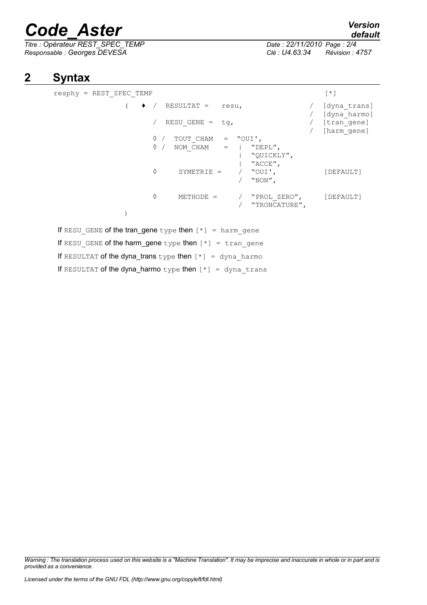# *Code\_Aster Version*

*Titre : Opérateur REST\_SPEC\_TEMP Date : 22/11/2010 Page : 2/4 Responsable : Georges DEVESA Clé : U4.63.34 Révision : 4757*

## **2 Syntax**

| $resphy = REST$ SPEC TEMP                                        | $\lceil * \rceil$            |
|------------------------------------------------------------------|------------------------------|
| $\bullet$ /<br>RESULTAT = resu,                                  | [dyna trans]<br>[dyna harmo] |
| RESU GENE = $tg$ ,                                               | [tran gene]<br>[harm gene]   |
| $\Diamond$ / TOUT CHAM = "OUI',                                  |                              |
| $\Diamond$ / NOM CHAM =   "DEPL",                                |                              |
| "QUICKLY",                                                       |                              |
| "ACCE",                                                          |                              |
| ♦<br>SYMETRIE = $/$ "OUI',                                       | [DEFAULT]                    |
| "NON",                                                           |                              |
| ♦<br>METHODE = $/$ "PROL ZERO", $[DEFAULT]$                      |                              |
| / "TRONCATURE",                                                  |                              |
|                                                                  |                              |
| If RESU GENE of the tran_gene type then $[*] = \text{harm}$ gene |                              |
| If RESU GENE of the harm_gene type then $[*] = \text{tran}$ gene |                              |
|                                                                  |                              |

If RESULTAT of the dyna\_trans type then  $[*] = \text{dyn}$  harmo

If RESULTAT of the dyna\_harmo type then  $[*] =$  dyna trans

*Warning : The translation process used on this website is a "Machine Translation". It may be imprecise and inaccurate in whole or in part and is provided as a convenience.*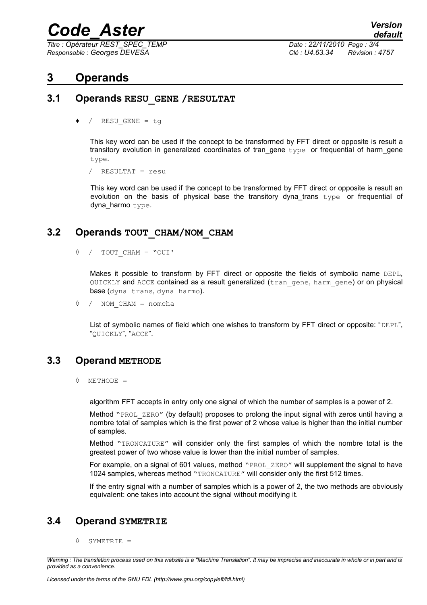## *Code\_Aster Version*

*Titre : Opérateur REST\_SPEC\_TEMP Date : 22/11/2010 Page : 3/4 Responsable : Georges DEVESA Clé : U4.63.34 Révision : 4757*

## **3 Operands**

#### **3.1 Operands RESU\_GENE /RESULTAT**

/ RESU GENE = tg

This key word can be used if the concept to be transformed by FFT direct or opposite is result a transitory evolution in generalized coordinates of tran\_gene  $type$  or frequential of harm\_gene type.

/ RESULTAT = resu

This key word can be used if the concept to be transformed by FFT direct or opposite is result an evolution on the basis of physical base the transitory dyna\_trans type or frequential of dyna harmo type.

#### **3.2 Operands TOUT\_CHAM/NOM\_CHAM**

◊ / TOUT\_CHAM = "OUI'

Makes it possible to transform by FFT direct or opposite the fields of symbolic name DEPL, QUICKLY and ACCE contained as a result generalized (tran gene, harm gene) or on physical base (dyna trans, dyna harmo).

◊ / NOM\_CHAM = nomcha

List of symbolic names of field which one wishes to transform by FFT direct or opposite: "DEPL", "QUICKLY", "ACCE".

#### **3.3 Operand METHODE**

◊ METHODE =

algorithm FFT accepts in entry only one signal of which the number of samples is a power of 2.

Method "PROL ZERO" (by default) proposes to prolong the input signal with zeros until having a nombre total of samples which is the first power of 2 whose value is higher than the initial number of samples.

Method "TRONCATURE" will consider only the first samples of which the nombre total is the greatest power of two whose value is lower than the initial number of samples.

For example, on a signal of 601 values, method "PROL ZERO" will supplement the signal to have 1024 samples, whereas method "TRONCATURE" will consider only the first 512 times.

If the entry signal with a number of samples which is a power of 2, the two methods are obviously equivalent: one takes into account the signal without modifying it.

#### **3.4 Operand SYMETRIE**

◊ SYMETRIE =

*Warning : The translation process used on this website is a "Machine Translation". It may be imprecise and inaccurate in whole or in part and is provided as a convenience.*